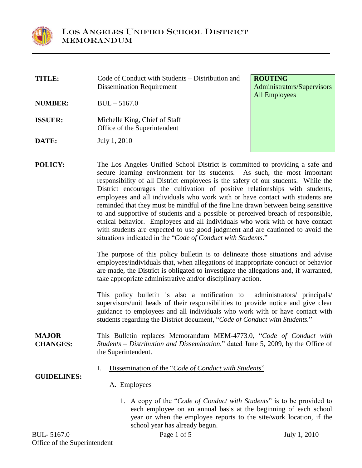

**TITLE:** Code of Conduct with Students – Distribution and Dissemination Requirement

**NUMBER:** BUL – 5167.0

- **ISSUER:** Michelle King, Chief of Staff Office of the Superintendent
- **DATE:** July 1, 2010

**ROUTING** Administrators/Supervisors All Employees

**POLICY:** The Los Angeles Unified School District is committed to providing a safe and secure learning environment for its students. As such, the most important responsibility of all District employees is the safety of our students. While the District encourages the cultivation of positive relationships with students, employees and all individuals who work with or have contact with students are reminded that they must be mindful of the fine line drawn between being sensitive to and supportive of students and a possible or perceived breach of responsible, ethical behavior. Employees and all individuals who work with or have contact with students are expected to use good judgment and are cautioned to avoid the situations indicated in the "Code of Conduct with Students."

> The purpose of this policy bulletin is to delineate those situations and advise employees/individuals that, when allegations of inappropriate conduct or behavior are made, the District is obligated to investigate the allegations and, if warranted, take appropriate administrative and/or disciplinary action.

> This policy bulletin is also a notification to administrators/ principals/ supervisors/unit heads of their responsibilities to provide notice and give clear guidance to employees and all individuals who work with or have contact with students regarding the District document, "*Code of Conduct with Students.*"

- **MAJOR CHANGES:** This Bulletin replaces Memorandum MEM-4773.0,"*Code of Conduct with Students –Distribution and Dissemination*,"datedJune 5, 2009, by the Office of the Superintendent.
	- I. Dissemination of the "*Code of Conduct with Students*"

**GUIDELINES:**

- A. Employees
	- 1. A copy of the "*Code of Conduct with Students*" is to be provided to each employee on an annual basis at the beginning of each school year or when the employee reports to the site/work location, if the school year has already begun.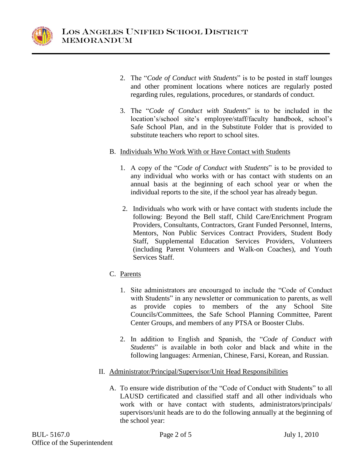

- 2. The "*Code of Conduct with Students*" is to be posted in staff lounges and other prominent locations where notices are regularly posted regarding rules, regulations, procedures, or standards of conduct.
- 3. The "Code of Conduct with Students" is to be included in the location's/school site's employee/staff/faculty handbook, school's Safe School Plan, and in the Substitute Folder that is provided to substitute teachers who report to school sites.
- B. Individuals Who Work With or Have Contact with Students
	- 1. A copy of the "*Code of Conduct with Students*" is to be provided to any individual who works with or has contact with students on an annual basis at the beginning of each school year or when the individual reports to the site, if the school year has already begun.
	- 2. Individuals who work with or have contact with students include the following: Beyond the Bell staff, Child Care/Enrichment Program Providers, Consultants, Contractors, Grant Funded Personnel, Interns, Mentors, Non Public Services Contract Providers, Student Body Staff, Supplemental Education Services Providers, Volunteers (including Parent Volunteers and Walk-on Coaches), and Youth Services Staff.
- C. Parents
	- 1. Site administrators are encouraged to include the "Code of Conduct" with Students" in any newsletter or communication to parents, as well as provide copies to members of the any School Site Councils/Committees, the Safe School Planning Committee, Parent Center Groups, and members of any PTSA or Booster Clubs.
	- 2. In addition to English and Spanish, the "Code of Conduct with *Students*" is available in both color and black and white in the following languages: Armenian, Chinese, Farsi, Korean, and Russian.
- II. Administrator/Principal/Supervisor/Unit Head Responsibilities
	- A. To ensure wide distribution of the "Code of Conduct with Students" to all LAUSD certificated and classified staff and all other individuals who work with or have contact with students, administrators/principals/ supervisors/unit heads are to do the following annually at the beginning of the school year: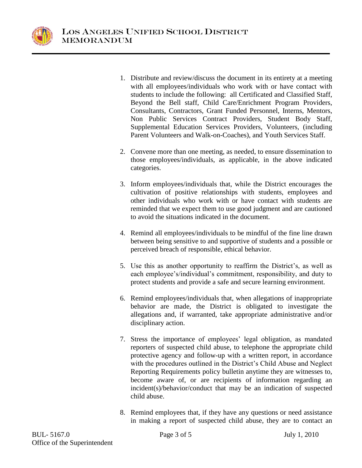

- 1. Distribute and review/discuss the document in its entirety at a meeting with all employees/individuals who work with or have contact with students to include the following: all Certificated and Classified Staff, Beyond the Bell staff, Child Care/Enrichment Program Providers, Consultants, Contractors, Grant Funded Personnel, Interns, Mentors, Non Public Services Contract Providers, Student Body Staff, Supplemental Education Services Providers, Volunteers, (including Parent Volunteers and Walk-on-Coaches), and Youth Services Staff.
- 2. Convene more than one meeting, as needed, to ensure dissemination to those employees/individuals, as applicable, in the above indicated categories.
- 3. Inform employees/individuals that, while the District encourages the cultivation of positive relationships with students, employees and other individuals who work with or have contact with students are reminded that we expect them to use good judgment and are cautioned to avoid the situations indicated in the document.
- 4. Remind all employees/individuals to be mindful of the fine line drawn between being sensitive to and supportive of students and a possible or perceived breach of responsible, ethical behavior.
- 5. Use this as another opportunity to reaffirm the District's, as well as each employee's/individual's commitment, responsibility, and duty to protect students and provide a safe and secure learning environment.
- 6. Remind employees/individuals that, when allegations of inappropriate behavior are made, the District is obligated to investigate the allegations and, if warranted, take appropriate administrative and/or disciplinary action.
- 7. Stress the importance of employees' legal obligation, as mandated reporters of suspected child abuse, to telephone the appropriate child protective agency and follow-up with a written report, in accordance with the procedures outlined in the District's Child Abuse and Neglect Reporting Requirements policy bulletin anytime they are witnesses to, become aware of, or are recipients of information regarding an incident(s)/behavior/conduct that may be an indication of suspected child abuse.
- 8. Remind employees that, if they have any questions or need assistance in making a report of suspected child abuse, they are to contact an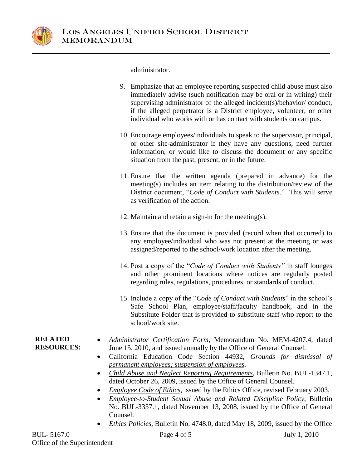

administrator.

- 9. Emphasize that an employee reporting suspected child abuse must also immediately advise (such notification may be oral or in writing) their supervising administrator of the alleged incident(s)/behavior/ conduct, if the alleged perpetrator is a District employee, volunteer, or other individual who works with or has contact with students on campus.
- 10. Encourage employees/individuals to speak to the supervisor, principal, or other site-administrator if they have any questions, need further information, or would like to discuss the document or any specific situation from the past, present, or in the future.
- 11. Ensure that the written agenda (prepared in advance) for the meeting(s) includes an item relating to the distribution/review of the District document, "Code of Conduct with Students." This will serve as verification of the action.
- 12. Maintain and retain a sign-in for the meeting(s).
- 13. Ensure that the document is provided (record when that occurred) to any employee/individual who was not present at the meeting or was assigned/reported to the school/work location after the meeting.
- 14. Post a copy of the "*Code of Conduct with Students*" in staff lounges and other prominent locations where notices are regularly posted regarding rules, regulations, procedures, or standards of conduct.
- 15. Include a copy of the "*Code of Conduct with Students*" in the school's Safe School Plan, employee/staff/faculty handbook, and in the Substitute Folder that is provided to substitute staff who report to the school/work site.
- **RELATED RESOURCES:**
- *Administrator Certification Form*, Memorandum No. MEM-4207.4, dated June 15, 2010, and issued annually by the Office of General Counsel.
- California Education Code Section 44932, *Grounds for dismissal of permanent employees; suspension of employees*.
- *Child Abuse and Neglect Reporting Requirements*, Bulletin No. BUL-1347.1, dated October 26, 2009, issued by the Office of General Counsel.
- *Employee Code of Ethics*, issued by the Ethics Office, revised February 2003.
- *Employee-to-Student Sexual Abuse and Related Discipline Policy*, Bulletin No. BUL-3357.1, dated November 13, 2008, issued by the Office of General Counsel.
- *Ethics Policies*, Bulletin No. 4748.0, dated May 18, 2009, issued by the Office